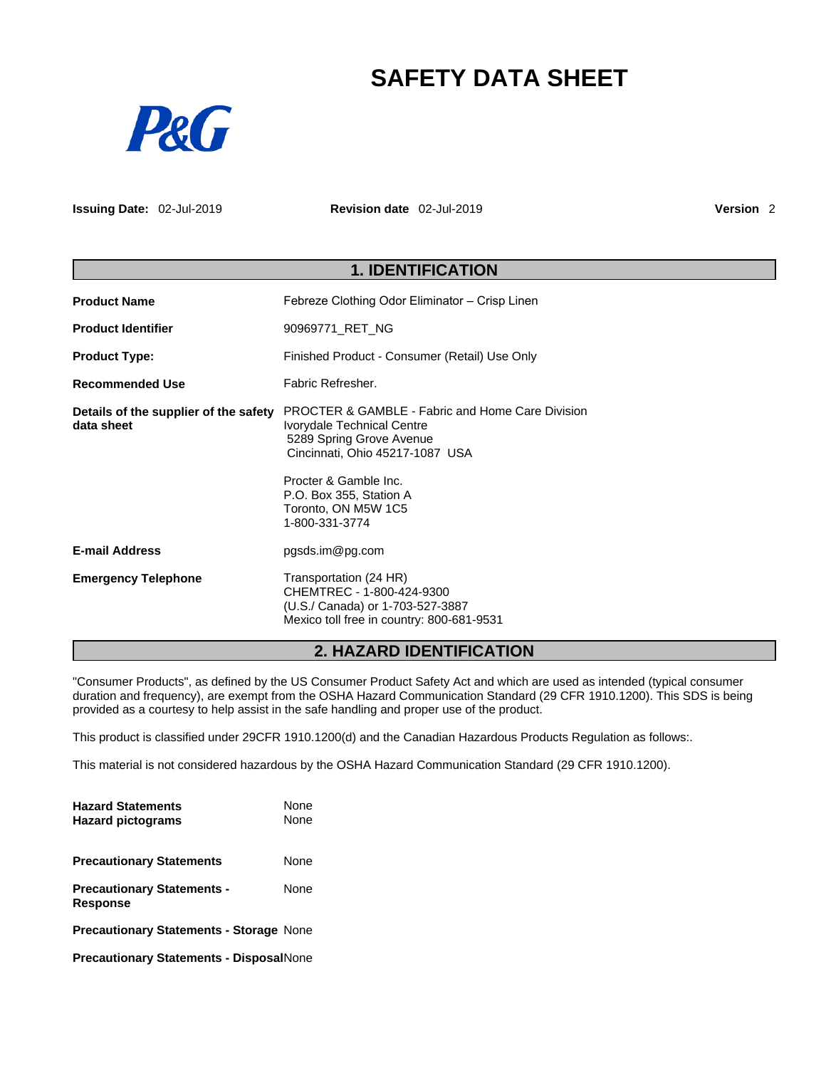# **SAFETY DATA SHEET**



**Issuing Date:** 02-Jul-2019 **Revision date** 02-Jul-2019 **Version** 2

| <b>1. IDENTIFICATION</b>                            |                                                                                                                                                                                                                                                       |  |
|-----------------------------------------------------|-------------------------------------------------------------------------------------------------------------------------------------------------------------------------------------------------------------------------------------------------------|--|
| <b>Product Name</b>                                 | Febreze Clothing Odor Eliminator - Crisp Linen                                                                                                                                                                                                        |  |
| <b>Product Identifier</b>                           | 90969771_RET_NG                                                                                                                                                                                                                                       |  |
| <b>Product Type:</b>                                | Finished Product - Consumer (Retail) Use Only                                                                                                                                                                                                         |  |
| <b>Recommended Use</b>                              | Fabric Refresher.                                                                                                                                                                                                                                     |  |
| Details of the supplier of the safety<br>data sheet | <b>PROCTER &amp; GAMBLE - Fabric and Home Care Division</b><br>Ivorydale Technical Centre<br>5289 Spring Grove Avenue<br>Cincinnati, Ohio 45217-1087 USA<br>Procter & Gamble Inc.<br>P.O. Box 355, Station A<br>Toronto, ON M5W 1C5<br>1-800-331-3774 |  |
| <b>E-mail Address</b>                               | pgsds.im@pg.com                                                                                                                                                                                                                                       |  |
| <b>Emergency Telephone</b>                          | Transportation (24 HR)<br>CHEMTREC - 1-800-424-9300<br>(U.S./ Canada) or 1-703-527-3887<br>Mexico toll free in country: 800-681-9531                                                                                                                  |  |

## **2. HAZARD IDENTIFICATION**

"Consumer Products", as defined by the US Consumer Product Safety Act and which are used as intended (typical consumer duration and frequency), are exempt from the OSHA Hazard Communication Standard (29 CFR 1910.1200). This SDS is being provided as a courtesy to help assist in the safe handling and proper use of the product.

This product is classified under 29CFR 1910.1200(d) and the Canadian Hazardous Products Regulation as follows:.

This material is not considered hazardous by the OSHA Hazard Communication Standard (29 CFR 1910.1200).

| <b>Hazard Statements</b><br><b>Hazard pictograms</b> | <b>None</b><br><b>None</b> |  |
|------------------------------------------------------|----------------------------|--|
| <b>Precautionary Statements</b>                      | None                       |  |
| <b>Precautionary Statements -</b><br><b>Response</b> | None                       |  |
| <b>Precautionary Statements - Storage None</b>       |                            |  |
| <b>Precautionary Statements - DisposalNone</b>       |                            |  |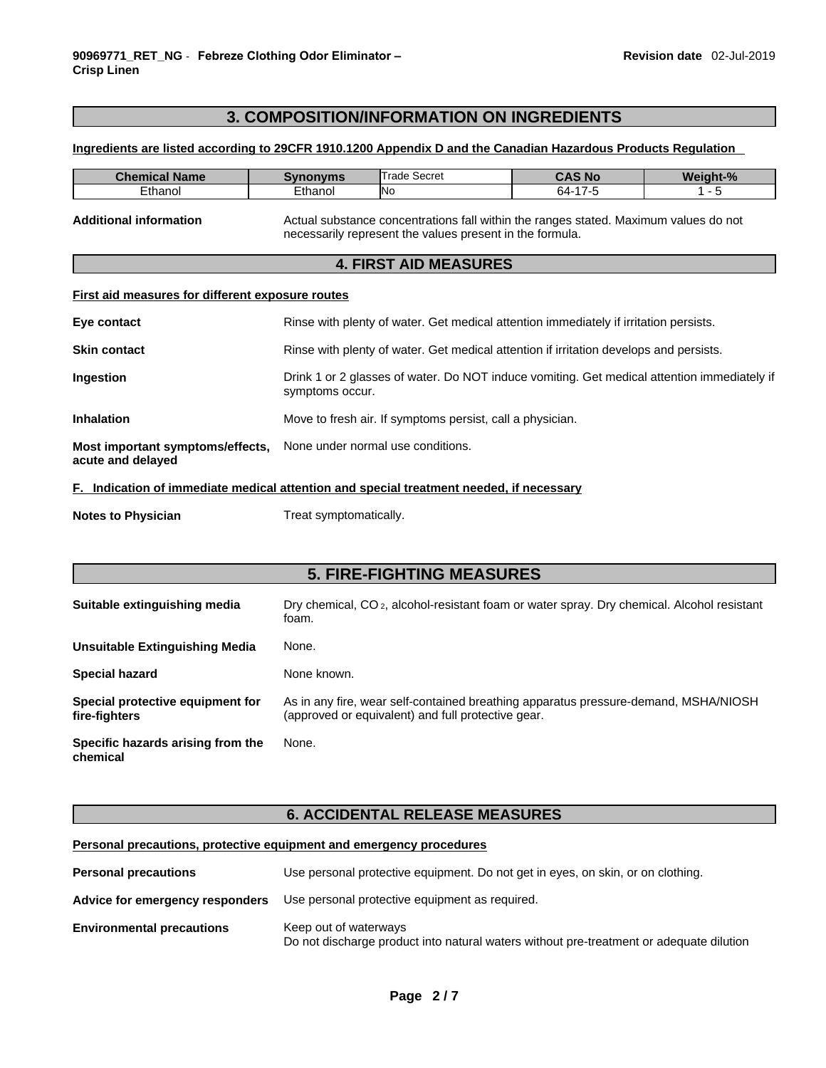## **3. COMPOSITION/INFORMATION ON INGREDIENTS**

#### **Ingredients are listed according to 29CFR 1910.1200 Appendix D and the Canadian Hazardous Products Regulation**

| <b>Chemical Name</b>          | Svnonvms | Trade Secret                                                                         | <b>CAS No</b> | Weight-% |
|-------------------------------|----------|--------------------------------------------------------------------------------------|---------------|----------|
| Ethanol                       | Ethanol  | Nο                                                                                   | 64-17-5       |          |
| <b>Additional information</b> |          | Actual substance concentrations fall within the ranges stated. Maximum values do not |               |          |

## necessarily represent the values present in the formula. **4. FIRST AID MEASURES**

#### **First aid measures for different exposure routes**

| Eye contact                                           | Rinse with plenty of water. Get medical attention immediately if irritation persists.                          |
|-------------------------------------------------------|----------------------------------------------------------------------------------------------------------------|
| <b>Skin contact</b>                                   | Rinse with plenty of water. Get medical attention if irritation develops and persists.                         |
| <b>Ingestion</b>                                      | Drink 1 or 2 glasses of water. Do NOT induce vomiting. Get medical attention immediately if<br>symptoms occur. |
| <b>Inhalation</b>                                     | Move to fresh air. If symptoms persist, call a physician.                                                      |
| Most important symptoms/effects,<br>acute and delayed | None under normal use conditions.                                                                              |

## **F. Indication of immediate medical attention and special treatment needed, if necessary**

| <b>Notes to Physician</b> | Treat symptomatically. |
|---------------------------|------------------------|
|---------------------------|------------------------|

## **5. FIRE-FIGHTING MEASURES Suitable extinguishing media** Dry chemical, CO 2, alcohol-resistant foam or water spray. Dry chemical. Alcohol resistant foam. **Unsuitable Extinguishing Media** None. Special hazard **None known**. **Special protective equipment for fire-fighters** As in any fire, wear self-contained breathing apparatus pressure-demand, MSHA/NIOSH (approved or equivalent) and full protective gear. **Specific hazards arising from the chemical** None.

## **6. ACCIDENTAL RELEASE MEASURES**

## **Personal precautions, protective equipment and emergency procedures**

| <b>Personal precautions</b>      | Use personal protective equipment. Do not get in eyes, on skin, or on clothing.                                  |
|----------------------------------|------------------------------------------------------------------------------------------------------------------|
| Advice for emergency responders  | Use personal protective equipment as required.                                                                   |
| <b>Environmental precautions</b> | Keep out of waterways<br>Do not discharge product into natural waters without pre-treatment or adequate dilution |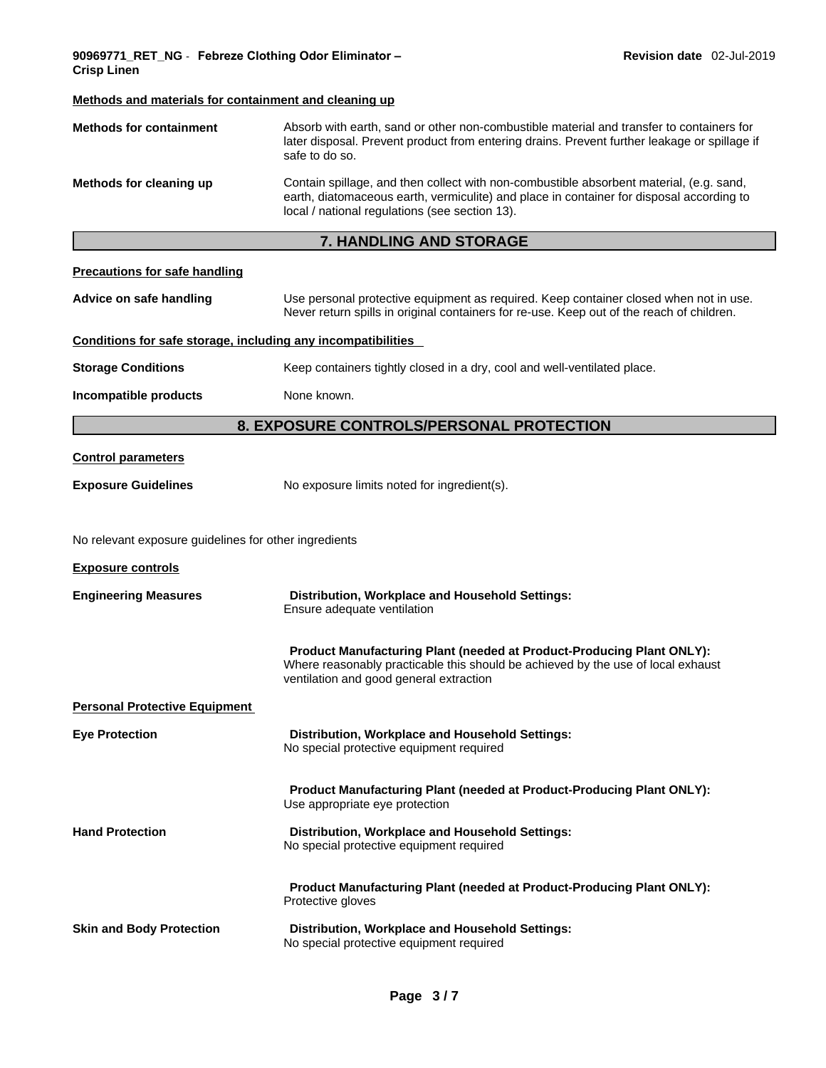## **Methods and materials for containment and cleaning up Methods for containment** Absorb with earth, sand or other non-combustible material and transfer to containers for later disposal. Prevent product from entering drains. Prevent further leakage or spillage if safe to do so. **Methods for cleaning up** Contain spillage, and then collect with non-combustible absorbent material, (e.g. sand, earth, diatomaceous earth, vermiculite) and place in container for disposal according to local / national regulations (see section 13). **7. HANDLING AND STORAGE Precautions for safe handling Advice on safe handling** Use personal protective equipment as required.Keep container closed when not in use. Never return spills in original containers for re-use. Keep out of the reach of children. **Conditions for safe storage, including any incompatibilities Storage Conditions** Keep containers tightly closed in a dry, cool and well-ventilated place. **Incompatible products** None known. **8. EXPOSURE CONTROLS/PERSONAL PROTECTION Control parameters Exposure Guidelines** No exposure limits noted for ingredient(s). No relevant exposure guidelines for other ingredients **Exposure controls Engineering Measures Distribution, Workplace and Household Settings:** Ensure adequate ventilation **Product Manufacturing Plant (needed at Product-Producing Plant ONLY):** Where reasonably practicable this should be achieved by the use of local exhaust ventilation and good general extraction **Personal Protective Equipment Eye Protection Distribution, Workplace and Household Settings:** No special protective equipment required **Product Manufacturing Plant (needed at Product-Producing Plant ONLY):** Use appropriate eye protection **Hand Protection Distribution, Workplace and Household Settings:** No special protective equipment required **Product Manufacturing Plant (needed at Product-Producing Plant ONLY):** Protective gloves **Skin and Body Protection Distribution, Workplace and Household Settings:**

No special protective equipment required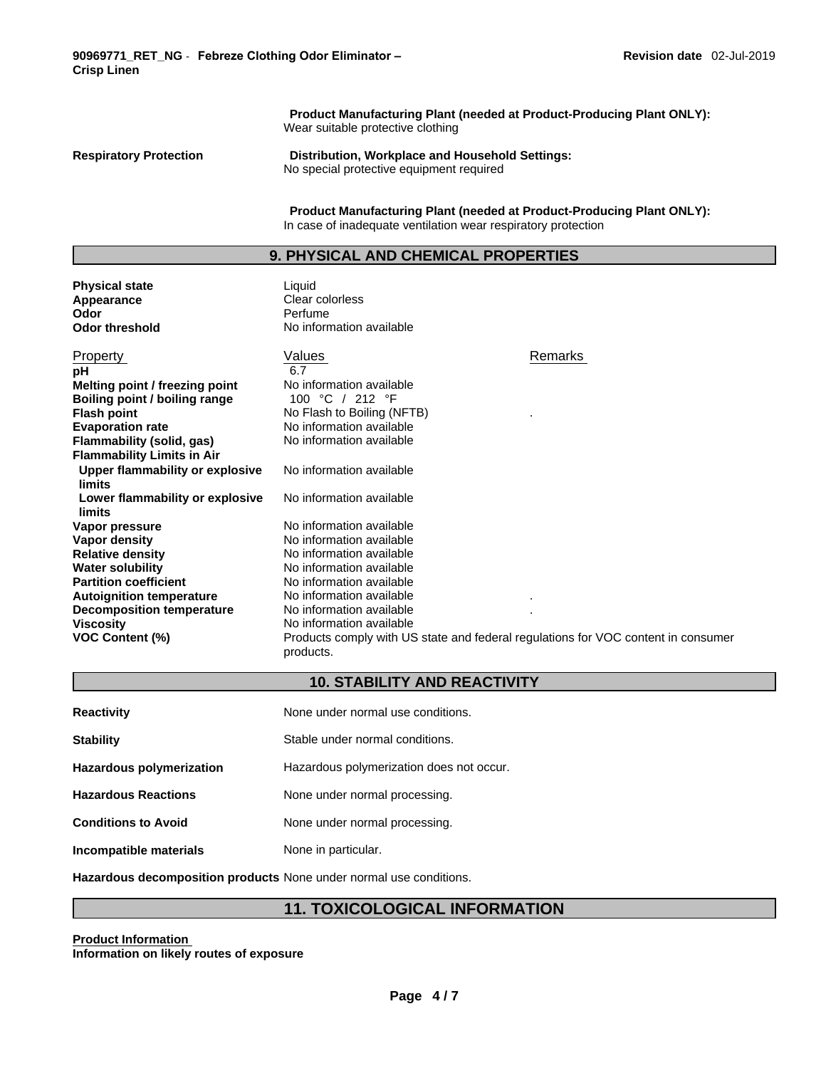**Odor** Perfume

**Product Manufacturing Plant (needed at Product-Producing Plant ONLY):** Wear suitable protective clothing

**Respiratory Protection Distribution, Workplace and Household Settings:** No special protective equipment required

> **Product Manufacturing Plant (needed at Product-Producing Plant ONLY):** In case of inadequate ventilation wear respiratory protection

## **9. PHYSICAL AND CHEMICAL PROPERTIES**

**Physical state Contract Exercise Server Server Server Server Server Server Server Server Server Server Server Server Server Server Server Server Server Server Server Server Server Server Server Server Server Server Serv** Appearance<br>Odor **Odor threshold** No information available

| Property<br>рH<br>Melting point / freezing point<br>Boiling point / boiling range<br><b>Flash point</b><br><b>Evaporation rate</b><br>Flammability (solid, gas)<br><b>Flammability Limits in Air</b>                                | Values<br>6.7<br>No information available<br>100 °C / 212 °F<br>No Flash to Boiling (NFTB)<br>No information available<br>No information available                                                                                                                                                                             | Remarks |
|-------------------------------------------------------------------------------------------------------------------------------------------------------------------------------------------------------------------------------------|--------------------------------------------------------------------------------------------------------------------------------------------------------------------------------------------------------------------------------------------------------------------------------------------------------------------------------|---------|
| Upper flammability or explosive<br>limits<br>Lower flammability or explosive<br>limits                                                                                                                                              | No information available<br>No information available                                                                                                                                                                                                                                                                           |         |
| Vapor pressure<br>Vapor density<br><b>Relative density</b><br><b>Water solubility</b><br><b>Partition coefficient</b><br><b>Autoignition temperature</b><br><b>Decomposition temperature</b><br>Viscosity<br><b>VOC Content (%)</b> | No information available<br>No information available<br>No information available<br>No information available<br>No information available<br>No information available<br>No information available<br>No information available<br>Products comply with US state and federal regulations for VOC content in consumer<br>products. |         |

## **10. STABILITY AND REACTIVITY**

| <b>Reactivity</b>               | None under normal use conditions.        |
|---------------------------------|------------------------------------------|
| <b>Stability</b>                | Stable under normal conditions.          |
| <b>Hazardous polymerization</b> | Hazardous polymerization does not occur. |
| <b>Hazardous Reactions</b>      | None under normal processing.            |
| <b>Conditions to Avoid</b>      | None under normal processing.            |
| Incompatible materials          | None in particular.                      |

**Hazardous decomposition products** None under normal use conditions.

## **11. TOXICOLOGICAL INFORMATION**

**Product Information**

**Information on likely routes of exposure**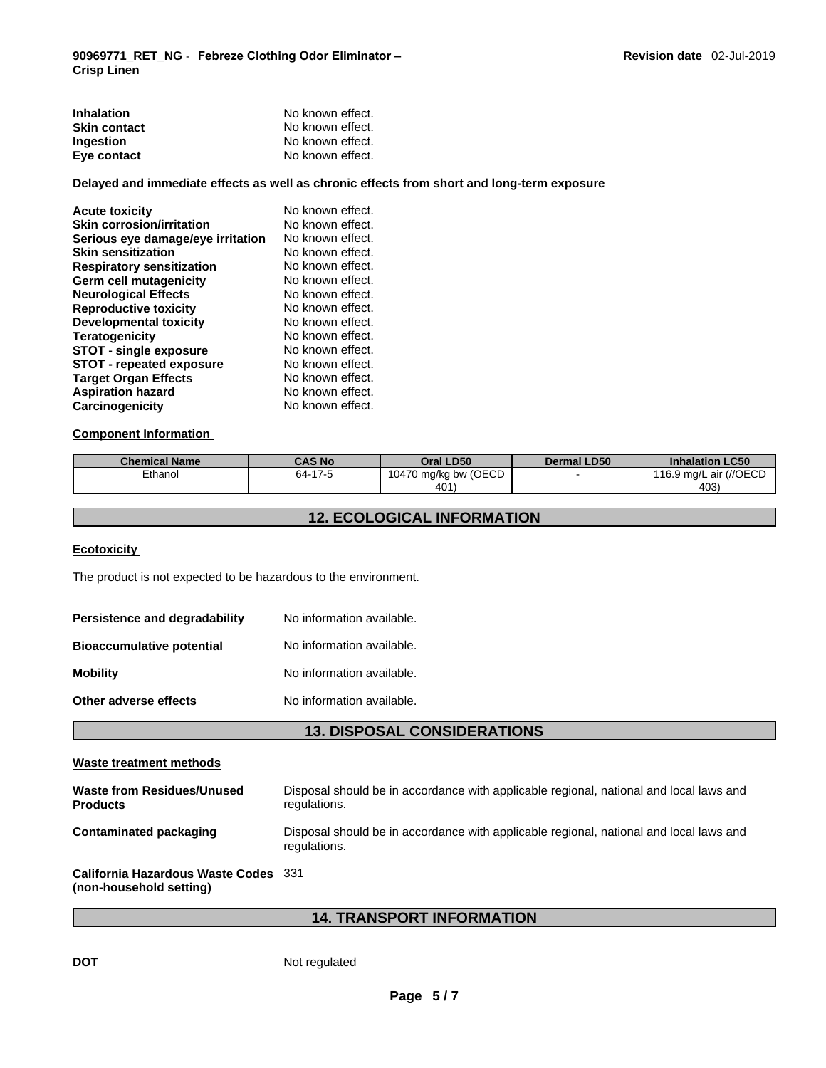| <b>Inhalation</b>   | No known effect. |
|---------------------|------------------|
| <b>Skin contact</b> | No known effect. |
| <b>Ingestion</b>    | No known effect. |
| Eye contact         | No known effect. |

## **Delayed and immediate effects as well as chronic effects from short and long-term exposure**

| <b>Acute toxicity</b>             | No known effect. |
|-----------------------------------|------------------|
| <b>Skin corrosion/irritation</b>  | No known effect. |
| Serious eye damage/eye irritation | No known effect. |
| <b>Skin sensitization</b>         | No known effect. |
| <b>Respiratory sensitization</b>  | No known effect. |
| <b>Germ cell mutagenicity</b>     | No known effect. |
| <b>Neurological Effects</b>       | No known effect. |
| <b>Reproductive toxicity</b>      | No known effect. |
| Developmental toxicity            | No known effect. |
| <b>Teratogenicity</b>             | No known effect. |
| <b>STOT - single exposure</b>     | No known effect. |
| <b>STOT - repeated exposure</b>   | No known effect. |
| <b>Target Organ Effects</b>       | No known effect. |
| <b>Aspiration hazard</b>          | No known effect. |
| Carcinogenicity                   | No known effect. |

#### **Component Information**

| <b>Chemical Name</b> | <b>CAS No.</b>       | <b>Oral LD50</b>     | <b>Dermal LD50</b> | <b>Inhalation LC50</b> |
|----------------------|----------------------|----------------------|--------------------|------------------------|
| Ethanol              | 47E<br>$64 - 17 - 5$ | 10470 mg/kg bw (OECD |                    | 116.9 mg/L air (//OECD |
|                      |                      | 401'                 |                    | 403)                   |

## **12. ECOLOGICAL INFORMATION**

### **Ecotoxicity**

The product is not expected to be hazardous to the environment.

| Persistence and degradability    | No information available. |
|----------------------------------|---------------------------|
| <b>Bioaccumulative potential</b> | No information available. |
| <b>Mobility</b>                  | No information available. |
| Other adverse effects            | No information available. |

## **13. DISPOSAL CONSIDERATIONS**

| Disposal should be in accordance with applicable regional, national and local laws and<br>regulations. |
|--------------------------------------------------------------------------------------------------------|
| Disposal should be in accordance with applicable regional, national and local laws and<br>regulations. |
| California Hazardous Waste Codes 331                                                                   |
|                                                                                                        |

## **14. TRANSPORT INFORMATION**

DOT Not regulated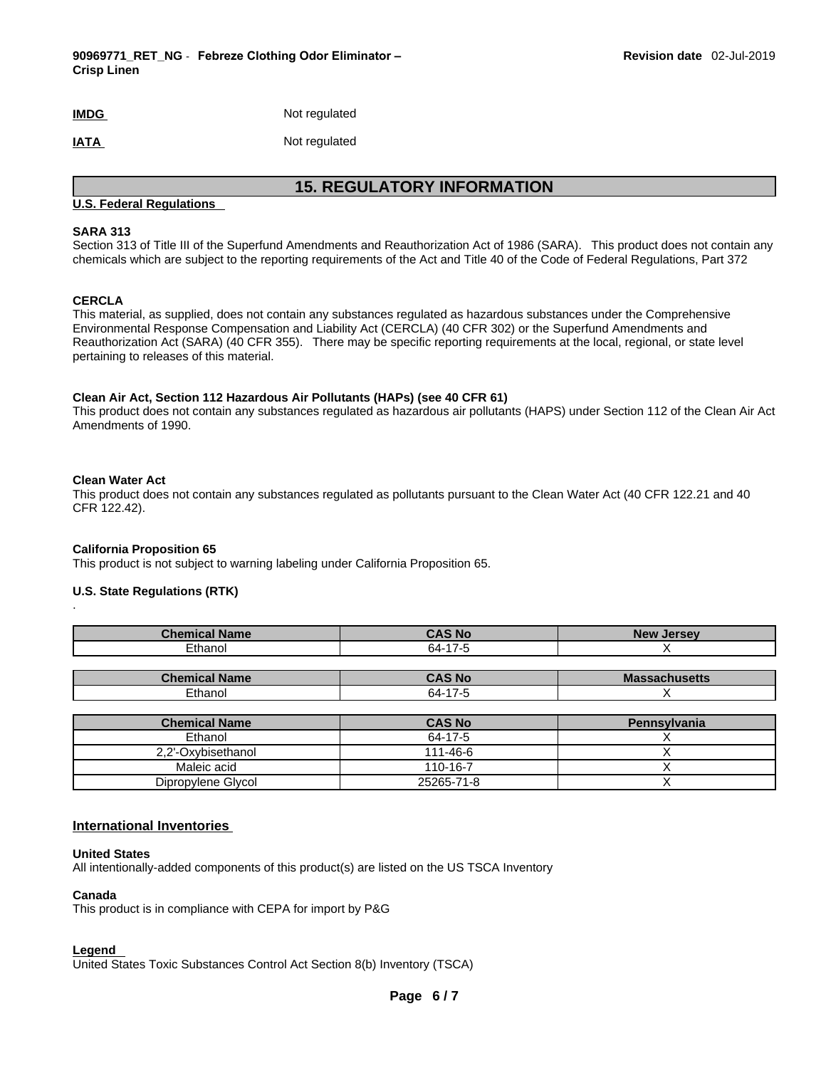## **IMDG** Not regulated

## **IATA** Not regulated

## **15. REGULATORY INFORMATION**

## **U.S. Federal Regulations**

### **SARA 313**

Section 313 of Title III of the Superfund Amendments and Reauthorization Act of 1986 (SARA). This product does not contain any chemicals which are subject to the reporting requirements of the Act and Title 40 of the Code of Federal Regulations, Part 372

## **CERCLA**

This material, as supplied, does not contain any substances regulated as hazardous substances under the Comprehensive Environmental Response Compensation and Liability Act (CERCLA) (40 CFR 302) or the Superfund Amendments and Reauthorization Act (SARA) (40 CFR 355). There may be specific reporting requirements at the local, regional, or state level pertaining to releases of this material.

#### **Clean Air Act,Section 112 Hazardous Air Pollutants (HAPs) (see 40 CFR 61)**

This product does not contain any substances regulated as hazardous air pollutants (HAPS) under Section 112 of the Clean Air Act Amendments of 1990.

## **Clean Water Act**

.

This product does not contain any substances regulated as pollutants pursuant to the Clean Water Act (40 CFR 122.21 and 40 CFR 122.42).

#### **California Proposition 65**

This product is not subject to warning labeling under California Proposition 65.

#### **U.S. State Regulations (RTK)**

| <b>Chemical Name</b> | <b>CAS No</b> | <b>New Jersey</b>    |
|----------------------|---------------|----------------------|
| Ethanol              | 64-17-5       |                      |
|                      |               |                      |
| <b>Chemical Name</b> | <b>CAS No</b> | <b>Massachusetts</b> |
| Ethanol              | 64-17-5       |                      |
|                      |               |                      |
| <b>Chemical Name</b> | <b>CAS No</b> | Pennsylvania         |
| Ethanol              | 64-17-5       |                      |

| Ethanol            | 64-17-5    |  |
|--------------------|------------|--|
| 2.2'-Oxybisethanol | 111-46-6   |  |
| Maleic acid        | 110-16-7   |  |
| Dipropylene Glycol | 25265-71-8 |  |

#### **International Inventories**

#### **United States**

All intentionally-added components of this product(s) are listed on the US TSCA Inventory

#### **Canada**

This product is in compliance with CEPA for import by P&G

#### **Legend**

United States Toxic Substances Control Act Section 8(b) Inventory (TSCA)